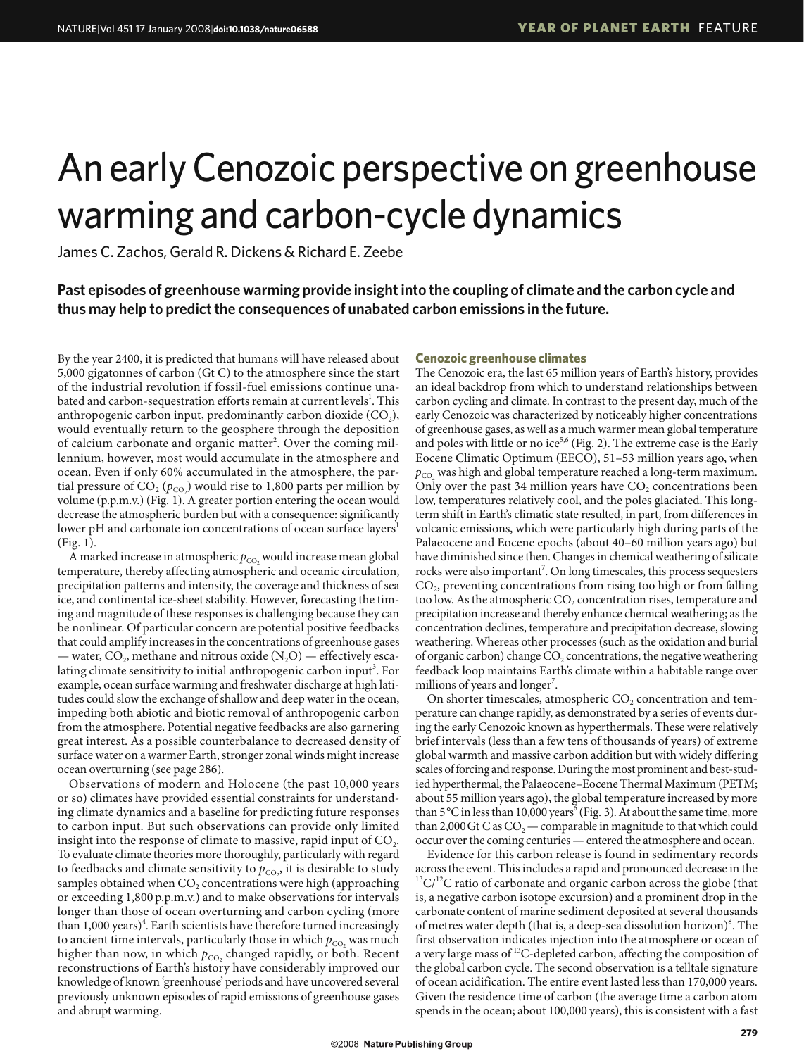# An early Cenozoic perspective on greenhouse warming and carbon-cycle dynamics

James C. Zachos, Gerald R. Dickens & Richard E. Zeebe

**Past episodes of greenhouse warming provide insight into the coupling of climate and the carbon cycle and thus may help to predict the consequences of unabated carbon emissions in the future.**

By the year 2400, it is predicted that humans will have released about 5,000 gigatonnes of carbon (Gt C) to the atmosphere since the start of the industrial revolution if fossil-fuel emissions continue unabated and carbon-sequestration efforts remain at current levels<sup>1</sup>. This anthropogenic carbon input, predominantly carbon dioxide  $(CO<sub>2</sub>)$ , would eventually return to the geosphere through the deposition of calcium carbonate and organic matter<sup>2</sup>. Over the coming millennium, however, most would accumulate in the atmosphere and ocean. Even if only 60% accumulated in the atmosphere, the partial pressure of  $\text{CO}_2$  ( $p_{\text{CO}_2}$ ) would rise to 1,800 parts per million by volume (p.p.m.v.) (Fig. 1). A greater portion entering the ocean would decrease the atmospheric burden but with a consequence: significantly lower pH and carbonate ion concentrations of ocean surface layers<sup>1</sup> (Fig. 1).

A marked increase in atmospheric  $p_{\text{CO}_2}$  would increase mean global temperature, thereby affecting atmospheric and oceanic circulation, precipitation patterns and intensity, the coverage and thickness of sea ice, and continental ice-sheet stability. However, forecasting the timing and magnitude of these responses is challenging because they can be nonlinear. Of particular concern are potential positive feedbacks that could amplify increases in the concentrations of greenhouse gases — water,  $CO_2$ , methane and nitrous oxide  $(N_2O)$  — effectively escalating climate sensitivity to initial anthropogenic carbon input<sup>3</sup>. For example, ocean surface warming and freshwater discharge at high latitudes could slow the exchange of shallow and deep water in the ocean, impeding both abiotic and biotic removal of anthropogenic carbon from the atmosphere. Potential negative feedbacks are also garnering great interest. As a possible counterbalance to decreased density of surface water on a warmer Earth, stronger zonal winds might increase ocean overturning (see page 286).

Observations of modern and Holocene (the past 10,000 years or so) climates have provided essential constraints for understanding climate dynamics and a baseline for predicting future responses to carbon input. But such observations can provide only limited insight into the response of climate to massive, rapid input of  $CO<sub>2</sub>$ . To evaluate climate theories more thoroughly, particularly with regard to feedbacks and climate sensitivity to  $p_{\text{CO}_2}$ , it is desirable to study samples obtained when CO<sub>2</sub> concentrations were high (approaching or exceeding 1,800 p.p.m.v.) and to make observations for intervals longer than those of ocean overturning and carbon cycling (more than 1,000 years)<sup>4</sup>. Earth scientists have therefore turned increasingly to ancient time intervals, particularly those in which  $p_{\text{CO}_2}$  was much higher than now, in which  $p_{\text{CO}_2}$  changed rapidly, or both. Recent reconstructions of Earth's history have considerably improved our knowledge of known 'greenhouse' periods and have uncovered several previously unknown episodes of rapid emissions of greenhouse gases and abrupt warming.

## **Cenozoic greenhouse climates**

The Cenozoic era, the last 65 million years of Earth's history, provides an ideal backdrop from which to understand relationships between carbon cycling and climate. In contrast to the present day, much of the early Cenozoic was characterized by noticeably higher concentrations of greenhouse gases, as well as a much warmer mean global temperature and poles with little or no ice<sup>5,6</sup> (Fig. 2). The extreme case is the Early Eocene Climatic Optimum (EECO), 51-53 million years ago, when  $p_{\text{CO}_2}$  was high and global temperature reached a long-term maximum. Only over the past 34 million years have  $CO<sub>2</sub>$  concentrations been low, temperatures relatively cool, and the poles glaciated. This longterm shift in Earth's climatic state resulted, in part, from differences in volcanic emissions, which were particularly high during parts of the Palaeocene and Eocene epochs (about 40–60 million years ago) but have diminished since then. Changes in chemical weathering of silicate rocks were also important<sup>7</sup>. On long timescales, this process sequesters  $CO<sub>2</sub>$ , preventing concentrations from rising too high or from falling too low. As the atmospheric  $CO<sub>2</sub>$  concentration rises, temperature and precipitation increase and thereby enhance chemical weathering; as the concentration declines, temperature and precipitation decrease, slowing weathering. Whereas other processes (such as the oxidation and burial of organic carbon) change  $CO<sub>2</sub>$  concentrations, the negative weathering feedback loop maintains Earth's climate within a habitable range over millions of years and longer<sup>7</sup>.

On shorter timescales, atmospheric  $CO<sub>2</sub>$  concentration and temperature can change rapidly, as demonstrated by a series of events during the early Cenozoic known as hyperthermals. These were relatively brief intervals (less than a few tens of thousands of years) of extreme global warmth and massive carbon addition but with widely differing scales of forcing and response. During the most prominent and best-studied hyperthermal, the Palaeocene–Eocene Thermal Maximum (PETM; about 55 million years ago), the global temperature increased by more than  $5^{\circ}$ C in less than 10,000 years<sup>6</sup> (Fig. 3). At about the same time, more than 2,000 Gt C as  $CO_2$  — comparable in magnitude to that which could occur over the coming centuries — entered the atmosphere and ocean.

Evidence for this carbon release is found in sedimentary records across the event. This includes a rapid and pronounced decrease in the  $13^1$ C/ $1^2$ C ratio of carbonate and organic carbon across the globe (that is, a negative carbon isotope excursion) and a prominent drop in the carbonate content of marine sediment deposited at several thousands of metres water depth (that is, a deep-sea dissolution horizon)<sup>8</sup>. The first observation indicates injection into the atmosphere or ocean of a very large mass of 13C-depleted carbon, affecting the composition of the global carbon cycle. The second observation is a telltale signature of ocean acidification. The entire event lasted less than 170,000 years. Given the residence time of carbon (the average time a carbon atom spends in the ocean; about 100,000 years), this is consistent with a fast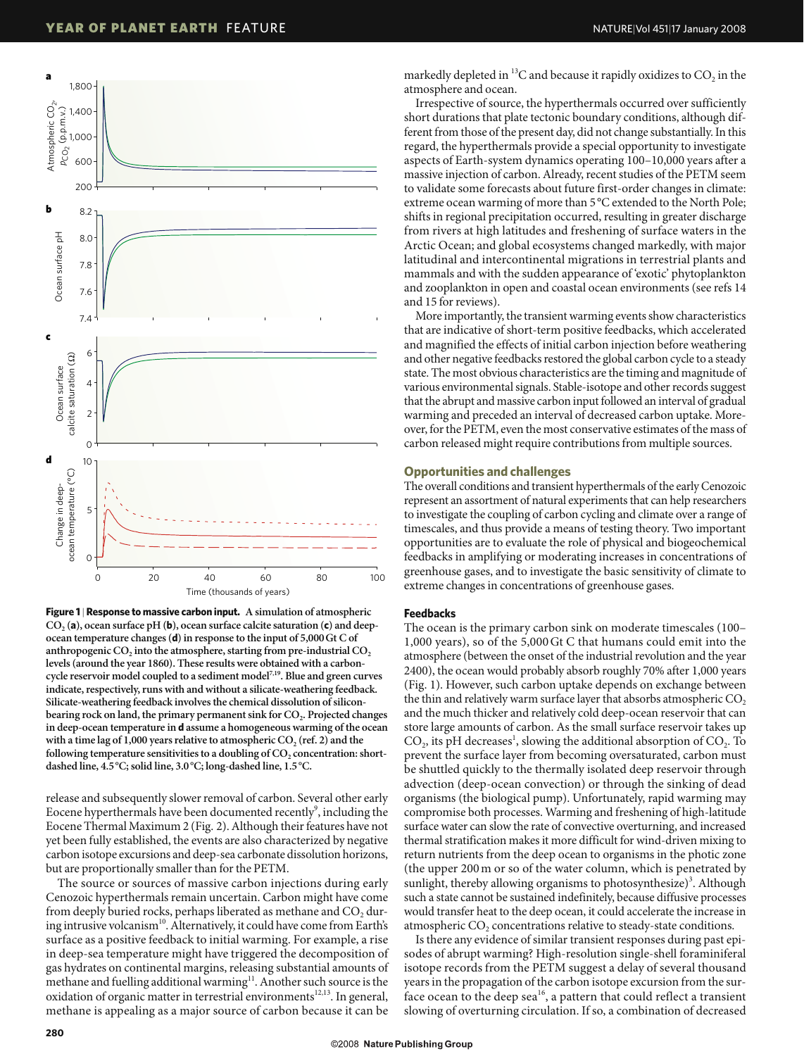

**Figure 1** | **Response to massive carbon input. A simulation of atmospheric**   $CO<sub>2</sub>$  (a), ocean surface pH (b), ocean surface calcite saturation (c) and deep**ocean temperature changes (d) in response to the input of 5,000 Gt C of**  anthropogenic CO<sub>2</sub> into the atmosphere, starting from pre-industrial CO<sub>2</sub> **levels (around the year 1860). These results were obtained with a carbon**cycle reservoir model coupled to a sediment model<sup>7,19</sup>. Blue and green curves **indicate, respectively, runs with and without a silicate-weathering feedback. Silicate-weathering feedback involves the chemical dissolution of silicon**bearing rock on land, the primary permanent sink for CO<sub>2</sub>. Projected changes **in deep-ocean temperature in d assume a homogeneous warming of the ocean**  with a time lag of 1,000 years relative to atmospheric  $CO<sub>2</sub>$  (ref. 2) and the following temperature sensitivities to a doubling of CO<sub>2</sub> concentration: short**dashed line, 4.5 °C; solid line, 3.0 °C; long-dashed line, 1.5 °C.** 

release and subsequently slower removal of carbon. Several other early Eocene hyperthermals have been documented recently<sup>9</sup>, including the Eocene Thermal Maximum 2 (Fig. 2). Although their features have not yet been fully established, the events are also characterized by negative carbon isotope excursions and deep-sea carbonate dissolution horizons, but are proportionally smaller than for the PETM.

The source or sources of massive carbon injections during early Cenozoic hyperthermals remain uncertain. Carbon might have come from deeply buried rocks, perhaps liberated as methane and  $CO<sub>2</sub>$  during intrusive volcanism<sup>10</sup>. Alternatively, it could have come from Earth's surface as a positive feedback to initial warming. For example, a rise in deep-sea temperature might have triggered the decomposition of gas hydrates on continental margins, releasing substantial amounts of methane and fuelling additional warming<sup>11</sup>. Another such source is the oxidation of organic matter in terrestrial environments<sup>12,13</sup>. In general, methane is appealing as a major source of carbon because it can be

markedly depleted in  ${}^{13}$ C and because it rapidly oxidizes to CO<sub>2</sub> in the atmosphere and ocean.

Irrespective of source, the hyperthermals occurred over sufficiently short durations that plate tectonic boundary conditions, although different from those of the present day, did not change substantially. In this regard, the hyperthermals provide a special opportunity to investigate aspects of Earth-system dynamics operating 100–10,000 years after a massive injection of carbon. Already, recent studies of the PETM seem to validate some forecasts about future first-order changes in climate: extreme ocean warming of more than 5 °C extended to the North Pole; shifts in regional precipitation occurred, resulting in greater discharge from rivers at high latitudes and freshening of surface waters in the Arctic Ocean; and global ecosystems changed markedly, with major latitudinal and intercontinental migrations in terrestrial plants and mammals and with the sudden appearance of 'exotic' phytoplankton and zooplankton in open and coastal ocean environments (see refs 14 and 15 for reviews).

More importantly, the transient warming events show characteristics that are indicative of short-term positive feedbacks, which accelerated and magnified the effects of initial carbon injection before weathering and other negative feedbacks restored the global carbon cycle to a steady state. The most obvious characteristics are the timing and magnitude of various environmental signals. Stable-isotope and other records suggest that the abrupt and massive carbon input followed an interval of gradual warming and preceded an interval of decreased carbon uptake. Moreover, for the PETM, even the most conservative estimates of the mass of carbon released might require contributions from multiple sources.

## **Opportunities and challenges**

The overall conditions and transient hyperthermals of the early Cenozoic represent an assortment of natural experiments that can help researchers to investigate the coupling of carbon cycling and climate over a range of timescales, and thus provide a means of testing theory. Two important opportunities are to evaluate the role of physical and biogeochemical feedbacks in amplifying or moderating increases in concentrations of greenhouse gases, and to investigate the basic sensitivity of climate to extreme changes in concentrations of greenhouse gases.

#### **Feedbacks**

The ocean is the primary carbon sink on moderate timescales (100– 1,000 years), so of the 5,000 Gt C that humans could emit into the atmosphere (between the onset of the industrial revolution and the year 2400), the ocean would probably absorb roughly 70% after 1,000 years (Fig. 1). However, such carbon uptake depends on exchange between the thin and relatively warm surface layer that absorbs atmospheric  $CO<sub>2</sub>$ and the much thicker and relatively cold deep-ocean reservoir that can store large amounts of carbon. As the small surface reservoir takes up  $CO<sub>2</sub>$ , its pH decreases<sup>1</sup>, slowing the additional absorption of  $CO<sub>2</sub>$ . To prevent the surface layer from becoming oversaturated, carbon must be shuttled quickly to the thermally isolated deep reservoir through advection (deep-ocean convection) or through the sinking of dead organisms (the biological pump). Unfortunately, rapid warming may compromise both processes. Warming and freshening of high-latitude surface water can slow the rate of convective overturning, and increased thermal stratification makes it more difficult for wind-driven mixing to return nutrients from the deep ocean to organisms in the photic zone (the upper 200 m or so of the water column, which is penetrated by sunlight, thereby allowing organisms to photosynthesize)<sup>3</sup>. Although such a state cannot be sustained indefinitely, because diffusive processes would transfer heat to the deep ocean, it could accelerate the increase in atmospheric CO<sub>2</sub> concentrations relative to steady-state conditions.

Is there any evidence of similar transient responses during past episodes of abrupt warming? High-resolution single-shell foraminiferal isotope records from the PETM suggest a delay of several thousand years in the propagation of the carbon isotope excursion from the surface ocean to the deep sea $16$ , a pattern that could reflect a transient slowing of overturning circulation. If so, a combination of decreased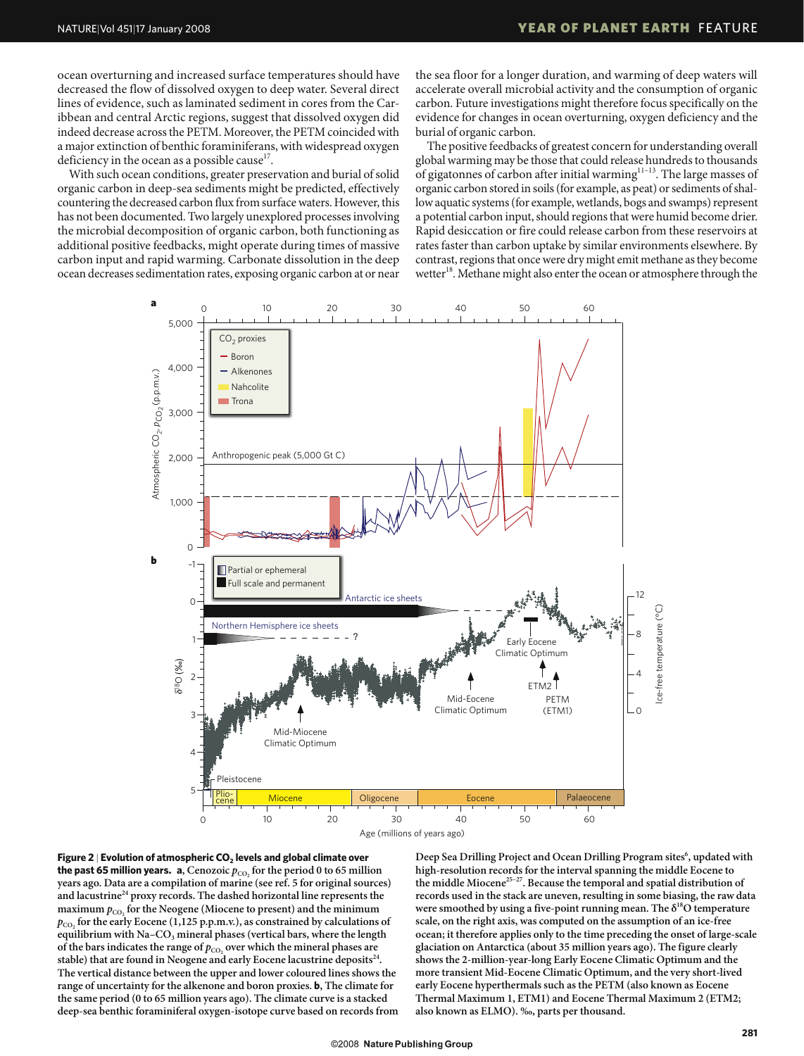ocean overturning and increased surface temperatures should have decreased the flow of dissolved oxygen to deep water. Several direct lines of evidence, such as laminated sediment in cores from the Caribbean and central Arctic regions, suggest that dissolved oxygen did indeed decrease across the PETM. Moreover, the PETM coincided with a major extinction of benthic foraminiferans, with widespread oxygen deficiency in the ocean as a possible cause<sup>17</sup>.

With such ocean conditions, greater preservation and burial of solid organic carbon in deep-sea sediments might be predicted, effectively countering the decreased carbon flux from surface waters. However, this has not been documented. Two largely unexplored processes involving the microbial decomposition of organic carbon, both functioning as additional positive feedbacks, might operate during times of massive carbon input and rapid warming. Carbonate dissolution in the deep ocean decreases sedimentation rates, exposing organic carbon at or near

the sea floor for a longer duration, and warming of deep waters will accelerate overall microbial activity and the consumption of organic carbon. Future investigations might therefore focus specifically on the evidence for changes in ocean overturning, oxygen deficiency and the burial of organic carbon.

The positive feedbacks of greatest concern for understanding overall global warming may be those that could release hundreds to thousands of gigatonnes of carbon after initial warming<sup>11-13</sup>. The large masses of organic carbon stored in soils (for example, as peat) or sediments of shallow aquatic systems (for example, wetlands, bogs and swamps) represent a potential carbon input, should regions that were humid become drier. Rapid desiccation or fire could release carbon from these reservoirs at rates faster than carbon uptake by similar environments elsewhere. By contrast, regions that once were dry might emit methane as they become wetter<sup>18</sup>. Methane might also enter the ocean or atmosphere through the





Deep Sea Drilling Project and Ocean Drilling Program sites<sup>6</sup>, updated with **high-resolution records for the interval spanning the middle Eocene to**  the middle Miocene<sup>25-27</sup>. Because the temporal and spatial distribution of **records used in the stack are uneven, resulting in some biasing, the raw data**  were smoothed by using a five-point running mean. The  $\delta^{18}O$  temperature **scale, on the right axis, was computed on the assumption of an ice-free ocean; it therefore applies only to the time preceding the onset of large-scale glaciation on Antarctica (about 35 million years ago). The figure clearly shows the 2-million-year-long Early Eocene Climatic Optimum and the more transient Mid-Eocene Climatic Optimum, and the very short-lived early Eocene hyperthermals such as the PETM (also known as Eocene Thermal Maximum 1, ETM1) and Eocene Thermal Maximum 2 (ETM2; also known as ELMO). ‰, parts per thousand.**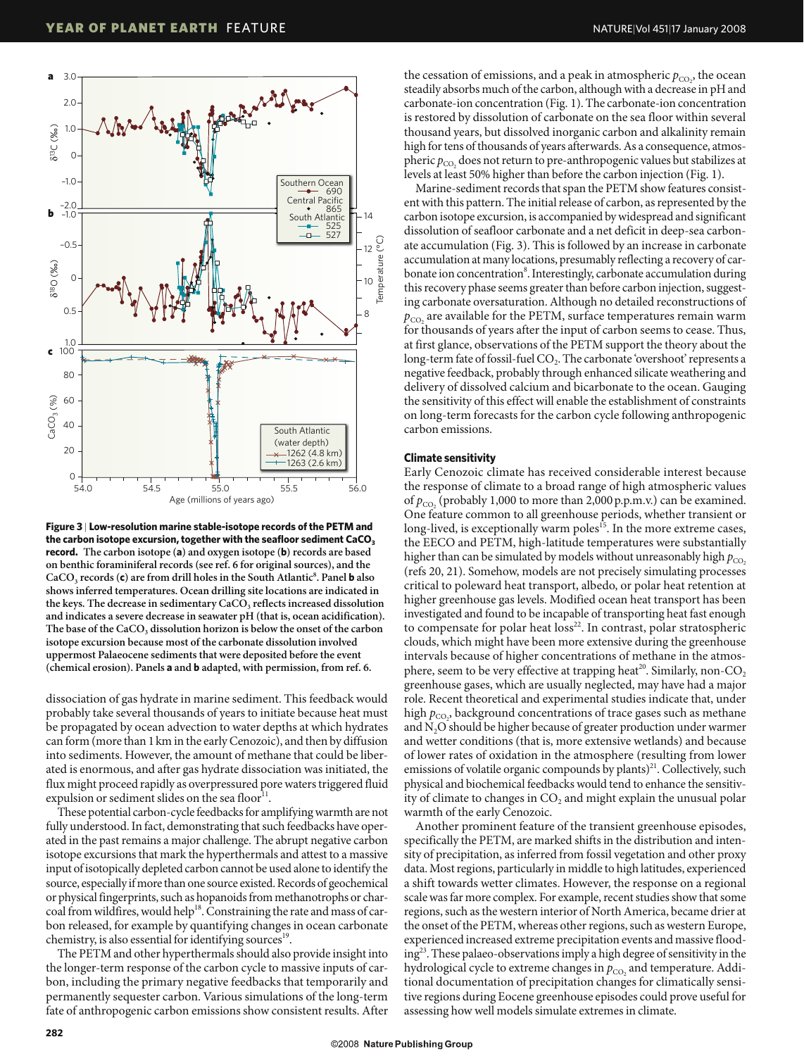

**Figure 3** | **Low-resolution marine stable-isotope records of the PETM and**  the carbon isotope excursion, together with the seafloor sediment CaCO<sub>3</sub> **record. The carbon isotope (a) and oxygen isotope (b) records are based on benthic foraminiferal records (see ref. 6 for original sources), and the**   $CaCO<sub>3</sub>$  records (**c**) are from drill holes in the South Atlantic<sup>8</sup>. Panel **b** also **shows inferred temperatures. Ocean drilling site locations are indicated in**  the keys. The decrease in sedimentary CaCO<sub>3</sub> reflects increased dissolution **and indicates a severe decrease in seawater pH (that is, ocean acidification).**  The base of the CaCO<sub>3</sub> dissolution horizon is below the onset of the carbon **isotope excursion because most of the carbonate dissolution involved uppermost Palaeocene sediments that were deposited before the event (chemical erosion). Panels a and b adapted, with permission, from ref. 6.**

dissociation of gas hydrate in marine sediment. This feedback would probably take several thousands of years to initiate because heat must be propagated by ocean advection to water depths at which hydrates can form (more than 1 km in the early Cenozoic), and then by diffusion into sediments. However, the amount of methane that could be liberated is enormous, and after gas hydrate dissociation was initiated, the flux might proceed rapidly as overpressured pore waters triggered fluid expulsion or sediment slides on the sea floor $1$ .

These potential carbon-cycle feedbacks for amplifying warmth are not fully understood. In fact, demonstrating that such feedbacks have operated in the past remains a major challenge. The abrupt negative carbon isotope excursions that mark the hyperthermals and attest to a massive input of isotopically depleted carbon cannot be used alone to identify the source, especially if more than one source existed. Records of geochemical or physical fingerprints, such as hopanoids from methanotrophs or charcoal from wildfires, would help<sup>18</sup>. Constraining the rate and mass of carbon released, for example by quantifying changes in ocean carbonate chemistry, is also essential for identifying sources<sup>19</sup>.

The PETM and other hyperthermals should also provide insight into the longer-term response of the carbon cycle to massive inputs of carbon, including the primary negative feedbacks that temporarily and permanently sequester carbon. Various simulations of the long-term fate of anthropogenic carbon emissions show consistent results. After

the cessation of emissions, and a peak in atmospheric  $p_{CO_2}$ , the ocean steadily absorbs much of the carbon, although with a decrease in pH and carbonate-ion concentration (Fig. 1). The carbonate-ion concentration is restored by dissolution of carbonate on the sea floor within several thousand years, but dissolved inorganic carbon and alkalinity remain high for tens of thousands of years afterwards. As a consequence, atmospheric  $p_{\text{CO}_2}$  does not return to pre-anthropogenic values but stabilizes at levels at least 50% higher than before the carbon injection (Fig. 1).

Marine-sediment records that span the PETM show features consistent with this pattern. The initial release of carbon, as represented by the carbon isotope excursion, is accompanied by widespread and significant dissolution of seafloor carbonate and a net deficit in deep-sea carbonate accumulation (Fig. 3). This is followed by an increase in carbonate accumulation at many locations, presumably reflecting a recovery of carbonate ion concentration<sup>8</sup>. Interestingly, carbonate accumulation during this recovery phase seems greater than before carbon injection, suggesting carbonate oversaturation. Although no detailed reconstructions of  $p_{\rm{CO}_2}$  are available for the PETM, surface temperatures remain warm for thousands of years after the input of carbon seems to cease. Thus, at first glance, observations of the PETM support the theory about the long-term fate of fossil-fuel  $CO<sub>2</sub>$ . The carbonate 'overshoot' represents a negative feedback, probably through enhanced silicate weathering and delivery of dissolved calcium and bicarbonate to the ocean. Gauging the sensitivity of this effect will enable the establishment of constraints on long-term forecasts for the carbon cycle following anthropogenic carbon emissions.

### **Climate sensitivity**

Early Cenozoic climate has received considerable interest because the response of climate to a broad range of high atmospheric values of  $p_{CO_2}$  (probably 1,000 to more than 2,000 p.p.m.v.) can be examined. One feature common to all greenhouse periods, whether transient or long-lived, is exceptionally warm poles<sup>15</sup>. In the more extreme cases, the EECO and PETM, high-latitude temperatures were substantially higher than can be simulated by models without unreasonably high  $p_{CO<sub>2</sub>}$ (refs 20, 21). Somehow, models are not precisely simulating processes critical to poleward heat transport, albedo, or polar heat retention at higher greenhouse gas levels. Modified ocean heat transport has been investigated and found to be incapable of transporting heat fast enough to compensate for polar heat loss<sup>22</sup>. In contrast, polar stratospheric clouds, which might have been more extensive during the greenhouse intervals because of higher concentrations of methane in the atmosphere, seem to be very effective at trapping heat<sup>20</sup>. Similarly, non-CO<sub>2</sub> greenhouse gases, which are usually neglected, may have had a major role. Recent theoretical and experimental studies indicate that, under high  $p_{CO_2}$ , background concentrations of trace gases such as methane and  $N<sub>2</sub>O$  should be higher because of greater production under warmer and wetter conditions (that is, more extensive wetlands) and because of lower rates of oxidation in the atmosphere (resulting from lower emissions of volatile organic compounds by plants)<sup>21</sup>. Collectively, such physical and biochemical feedbacks would tend to enhance the sensitivity of climate to changes in  $CO<sub>2</sub>$  and might explain the unusual polar warmth of the early Cenozoic.

Another prominent feature of the transient greenhouse episodes, specifically the PETM, are marked shifts in the distribution and intensity of precipitation, as inferred from fossil vegetation and other proxy data. Most regions, particularly in middle to high latitudes, experienced a shift towards wetter climates. However, the response on a regional scale was far more complex. For example, recent studies show that some regions, such as the western interior of North America, became drier at the onset of the PETM, whereas other regions, such as western Europe, experienced increased extreme precipitation events and massive flooding23. These palaeo-observations imply a high degree of sensitivity in the hydrological cycle to extreme changes in  $p_{\text{CO}_2}$  and temperature. Additional documentation of precipitation changes for climatically sensitive regions during Eocene greenhouse episodes could prove useful for assessing how well models simulate extremes in climate.